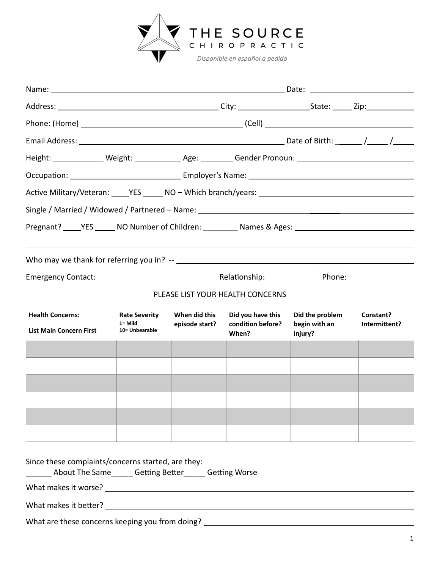

| Height: _______________ Weight: ______________ Age: _________ Gender Pronoun: ________________________________ |                                                   |                                 |                                                 |                                             |                            |
|----------------------------------------------------------------------------------------------------------------|---------------------------------------------------|---------------------------------|-------------------------------------------------|---------------------------------------------|----------------------------|
|                                                                                                                |                                                   |                                 |                                                 |                                             |                            |
|                                                                                                                |                                                   |                                 |                                                 |                                             |                            |
|                                                                                                                |                                                   |                                 |                                                 |                                             |                            |
| Pregnant? _____YES ______ NO Number of Children: __________ Names & Ages: __________________________           |                                                   |                                 |                                                 |                                             |                            |
|                                                                                                                |                                                   |                                 |                                                 |                                             |                            |
|                                                                                                                |                                                   |                                 |                                                 |                                             |                            |
|                                                                                                                |                                                   |                                 |                                                 |                                             |                            |
|                                                                                                                |                                                   |                                 | PLEASE LIST YOUR HEALTH CONCERNS                |                                             |                            |
| <b>Health Concerns:</b><br><b>List Main Concern First</b>                                                      | <b>Rate Severity</b><br>1= Mild<br>10= Unbearable | When did this<br>episode start? | Did you have this<br>condition before?<br>When? | Did the problem<br>begin with an<br>injury? | Constant?<br>Intermittent? |
|                                                                                                                |                                                   |                                 |                                                 |                                             |                            |
|                                                                                                                |                                                   |                                 |                                                 |                                             |                            |
|                                                                                                                |                                                   |                                 |                                                 |                                             |                            |
|                                                                                                                |                                                   |                                 |                                                 |                                             |                            |
|                                                                                                                |                                                   |                                 |                                                 |                                             |                            |
|                                                                                                                |                                                   |                                 |                                                 |                                             |                            |
| Since these complaints/concerns started, are they:<br>About The Same Getting Better Getting Worse              |                                                   |                                 |                                                 |                                             |                            |
|                                                                                                                |                                                   |                                 |                                                 |                                             |                            |
|                                                                                                                |                                                   |                                 |                                                 |                                             |                            |

What are these concerns keeping you from doing? \_\_\_\_\_\_\_\_\_\_\_\_\_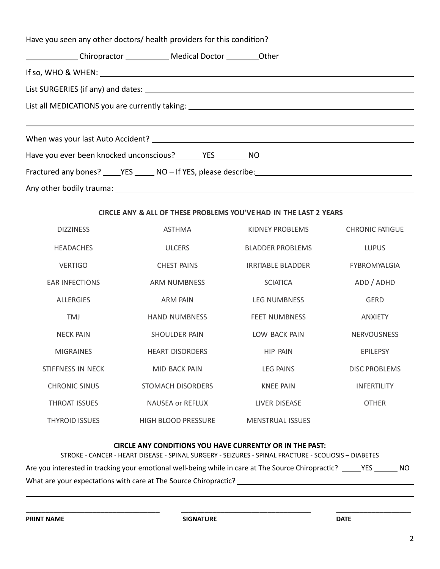| Have you seen any other doctors/ health providers for this condition?                                |
|------------------------------------------------------------------------------------------------------|
|                                                                                                      |
|                                                                                                      |
|                                                                                                      |
| List all MEDICATIONS you are currently taking: __________________________________                    |
|                                                                                                      |
|                                                                                                      |
|                                                                                                      |
|                                                                                                      |
| Fractured any bones? _____YES ______ NO - If YES, please describe: _________________________________ |

### **CIRCLE ANY & ALL OF THESE PROBLEMS YOU'VEHAD IN THE LAST 2 YEARS**

| <b>DIZZINESS</b>      | <b>ASTHMA</b>              | KIDNEY PROBLEMS          | <b>CHRONIC FATIGUE</b> |
|-----------------------|----------------------------|--------------------------|------------------------|
| <b>HEADACHES</b>      | <b>ULCERS</b>              | <b>BLADDER PROBLEMS</b>  | <b>LUPUS</b>           |
| <b>VERTIGO</b>        | <b>CHEST PAINS</b>         | <b>IRRITABLE BLADDER</b> | <b>FYBROMYALGIA</b>    |
| <b>EAR INFECTIONS</b> | <b>ARM NUMBNESS</b>        | <b>SCIATICA</b>          | ADD / ADHD             |
| <b>ALLERGIES</b>      | <b>ARM PAIN</b>            | <b>LEG NUMBNESS</b>      | <b>GERD</b>            |
| <b>TMJ</b>            | <b>HAND NUMBNESS</b>       | <b>FEET NUMBNESS</b>     | <b>ANXIETY</b>         |
| <b>NECK PAIN</b>      | SHOULDER PAIN              | LOW BACK PAIN            | <b>NERVOUSNESS</b>     |
| <b>MIGRAINES</b>      | <b>HEART DISORDERS</b>     | <b>HIP PAIN</b>          | <b>EPILEPSY</b>        |
| STIFFNESS IN NECK     | MID BACK PAIN              | <b>LEG PAINS</b>         | <b>DISC PROBLEMS</b>   |
| <b>CHRONIC SINUS</b>  | STOMACH DISORDERS          | <b>KNEE PAIN</b>         | <b>INFERTILITY</b>     |
| <b>THROAT ISSUES</b>  | <b>NAUSEA or REFLUX</b>    | <b>LIVER DISEASE</b>     | <b>OTHER</b>           |
| <b>THYROID ISSUES</b> | <b>HIGH BLOOD PRESSURE</b> | <b>MENSTRUAL ISSUES</b>  |                        |

#### **CIRCLE ANY CONDITIONS YOU HAVE CURRENTLY OR IN THE PAST:**

| STROKE - CANCER - HEART DISEASE - SPINAL SURGERY - SEIZURES - SPINAL FRACTURE - SCOLIOSIS - DIABETES          |     |
|---------------------------------------------------------------------------------------------------------------|-----|
| Are you interested in tracking your emotional well-being while in care at The Source Chiropractic? ______ YES | NO. |
| What are your expectations with care at The Source Chiropractic?                                              |     |

\_\_\_\_\_\_\_\_\_\_\_\_\_\_\_\_\_\_\_\_\_\_\_\_\_\_\_\_\_\_\_\_\_\_ \_\_\_\_\_\_\_\_\_\_\_\_\_\_\_\_\_\_\_\_\_\_\_\_\_\_\_\_\_\_\_\_\_ \_\_\_\_\_\_\_\_\_\_\_\_\_\_\_\_\_\_\_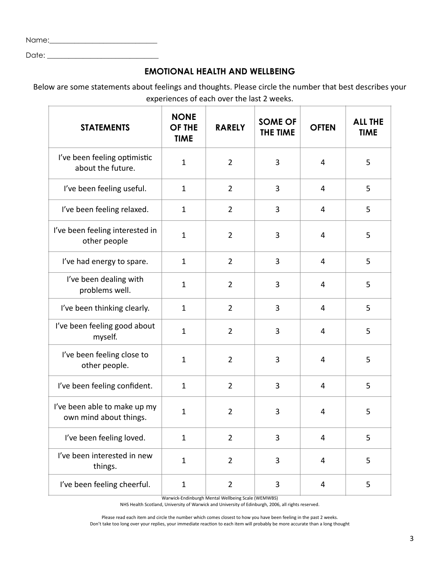| Name: |  |
|-------|--|
| Date: |  |

## **EMOTIONAL HEALTH AND WELLBEING**

Below are some statements about feelings and thoughts. Please circle the number that best describes your experiences of each over the last 2 weeks.

| <b>STATEMENTS</b>                                      | <b>NONE</b><br><b>OF THE</b><br><b>TIME</b> | <b>RARELY</b>  | <b>SOME OF</b><br>THE TIME | <b>OFTEN</b>   | <b>ALL THE</b><br><b>TIME</b> |
|--------------------------------------------------------|---------------------------------------------|----------------|----------------------------|----------------|-------------------------------|
| I've been feeling optimistic<br>about the future.      | $\mathbf{1}$                                | $\overline{2}$ | 3                          | 4              | 5                             |
| I've been feeling useful.                              | $\mathbf{1}$                                | $\overline{2}$ | 3                          | 4              | 5                             |
| I've been feeling relaxed.                             | $\mathbf{1}$                                | $\overline{2}$ | 3                          | 4              | 5                             |
| I've been feeling interested in<br>other people        | $\mathbf{1}$                                | $\overline{2}$ | 3                          | 4              | 5                             |
| I've had energy to spare.                              | $\mathbf{1}$                                | $\overline{2}$ | 3                          | 4              | 5                             |
| I've been dealing with<br>problems well.               | $\mathbf{1}$                                | $\overline{2}$ | 3                          | 4              | 5                             |
| I've been thinking clearly.                            | $\mathbf{1}$                                | $\overline{2}$ | 3                          | 4              | 5                             |
| I've been feeling good about<br>myself.                | $\mathbf{1}$                                | $\overline{2}$ | 3                          | 4              | 5                             |
| I've been feeling close to<br>other people.            | $\mathbf{1}$                                | $\overline{2}$ | 3                          | 4              | 5                             |
| I've been feeling confident.                           | $\mathbf{1}$                                | $\overline{2}$ | 3                          | 4              | 5                             |
| I've been able to make up my<br>own mind about things. | $\mathbf{1}$                                | $\overline{2}$ | 3                          | 4              | 5                             |
| I've been feeling loved.                               | $\mathbf{1}$                                | $\overline{2}$ | 3                          | $\overline{4}$ | 5                             |
| I've been interested in new<br>things.                 | $\mathbf{1}$                                | $\overline{2}$ | 3                          | 4              | 5                             |
| I've been feeling cheerful.                            | $\mathbf{1}$                                | $\overline{2}$ | 3                          | 4              | 5                             |

Warwick-Endinburgh Mental Wellbeing Scale (WEMWBS)

NHS Health Scotland, University of Warwick and University of Edinburgh, 2006, all rights reserved.

Please read each item and circle the number which comes closest to how you have been feeling in the past 2 weeks. Don't take too long over your replies, your immediate reaction to each item will probably be more accurate than a long thought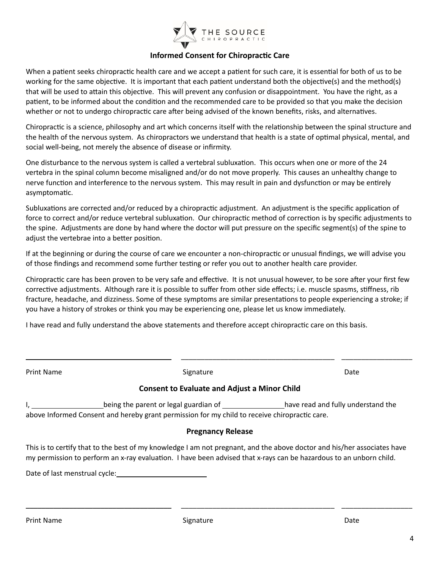

#### **Informed Consent for Chiropractic Care**

When a patient seeks chiropractic health care and we accept a patient for such care, it is essential for both of us to be working for the same objective. It is important that each patient understand both the objective(s) and the method(s) that will be used to attain this objective. This will prevent any confusion or disappointment. You have the right, as a patient, to be informed about the condition and the recommended care to be provided so that you make the decision whether or not to undergo chiropractic care after being advised of the known benefits, risks, and alternatives.

Chiropractic is a science, philosophy and art which concerns itself with the relationship between the spinal structure and the health of the nervous system. As chiropractors we understand that health is a state of optimal physical, mental, and social well-being, not merely the absence of disease or infirmity.

One disturbance to the nervous system is called a vertebral subluxation. This occurs when one or more of the 24 vertebra in the spinal column become misaligned and/or do not move properly. This causes an unhealthy change to nerve function and interference to the nervous system. This may result in pain and dysfunction or may be entirely asymptomatic.

Subluxations are corrected and/or reduced by a chiropractic adjustment. An adjustment is the specific application of force to correct and/or reduce vertebral subluxation. Our chiropractic method of correction is by specific adjustments to the spine. Adjustments are done by hand where the doctor will put pressure on the specific segment(s) of the spine to adjust the vertebrae into a better position.

If at the beginning or during the course of care we encounter a non-chiropractic or unusual findings, we will advise you of those findings and recommend some further testing or refer you out to another health care provider.

Chiropractic care has been proven to be very safe and effective. It is not unusual however, to be sore after your first few corrective adjustments. Although rare it is possible to suffer from other side effects; i.e. muscle spasms, stiffness, rib fracture, headache, and dizziness. Some of these symptoms are similar presentations to people experiencing a stroke; if you have a history of strokes or think you may be experiencing one, please let us know immediately.

I have read and fully understand the above statements and therefore accept chiropractic care on this basis.

| Print Name                                                                                                     | Signature                                                                                                                                                                                                                                     | Date |
|----------------------------------------------------------------------------------------------------------------|-----------------------------------------------------------------------------------------------------------------------------------------------------------------------------------------------------------------------------------------------|------|
|                                                                                                                | <b>Consent to Evaluate and Adjust a Minor Child</b>                                                                                                                                                                                           |      |
| $\mathsf{L}$                                                                                                   | being the parent or legal guardian of _________________have read and fully understand the<br>above Informed Consent and hereby grant permission for my child to receive chiropractic care.                                                    |      |
|                                                                                                                | <b>Pregnancy Release</b>                                                                                                                                                                                                                      |      |
|                                                                                                                | This is to certify that to the best of my knowledge I am not pregnant, and the above doctor and his/her associates have<br>my permission to perform an x-ray evaluation. I have been advised that x-rays can be hazardous to an unborn child. |      |
| Date of last menstrual cycle: National Contract Contract Contract Contract Contract Contract Contract Contract |                                                                                                                                                                                                                                               |      |

\_\_\_\_\_\_\_\_\_\_\_\_\_\_\_\_\_\_\_\_\_\_\_\_\_\_\_\_\_\_\_\_\_\_\_\_\_ \_\_\_\_\_\_\_\_\_\_\_\_\_\_\_\_\_\_\_\_\_\_\_\_\_\_\_\_\_\_\_\_\_\_\_\_\_\_\_ \_\_\_\_\_\_\_\_\_\_\_\_\_\_\_\_\_\_